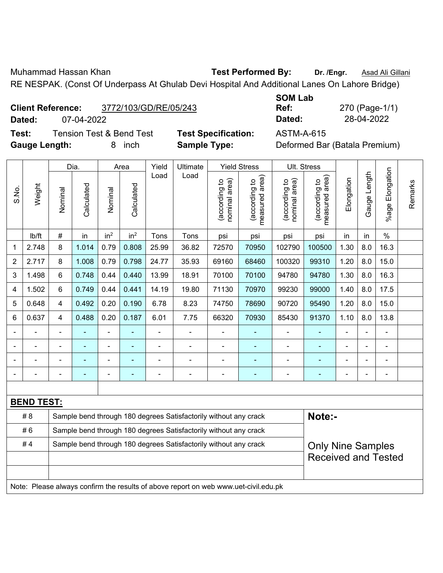Muhammad Hassan Khan **Test Performed By:** Dr. /Engr. **Asad Ali Gillani** Assame Dr. /Engr. **Asad Ali Gillani** 

RE NESPAK. (Const Of Underpass At Ghulab Devi Hospital And Additional Lanes On Lahore Bridge)

| <b>Client Reference:</b> | 3772/103/GD/RE/05/243 |
|--------------------------|-----------------------|
|                          |                       |

**Test:** Tension Test & Bend Test **Test Specification:** ASTM-A-615 **Gauge Length:** 8 inch **Sample Type:** Deformed Bar (Batala Premium)

**SOM Lab Ref:** 270 (Page-1/1) **Dated:** 07-04-2022 **Dated:** 28-04-2022

|                |                   |                                                                                              | Dia.       |                 | Area            | Yield          | Ultimate                                                                            |                                | <b>Yield Stress</b>                         |                                | Ult. Stress                     |                |                          |                       |         |
|----------------|-------------------|----------------------------------------------------------------------------------------------|------------|-----------------|-----------------|----------------|-------------------------------------------------------------------------------------|--------------------------------|---------------------------------------------|--------------------------------|---------------------------------|----------------|--------------------------|-----------------------|---------|
| S.No.          | Weight            | Nominal                                                                                      | Calculated | Nominal         | Calculated      | Load           | Load                                                                                | nominal area)<br>(according to | (according to<br>neasured area)<br>measured | nominal area)<br>(according to | (according to<br>measured area) | Elongation     | Gauge Length             | Elongation<br>$%$ age | Remarks |
|                | Ib/ft             | $\#$                                                                                         | in         | in <sup>2</sup> | in <sup>2</sup> | Tons           | Tons                                                                                | psi                            | psi                                         | psi                            | psi                             | in             | in                       | $\%$                  |         |
| 1              | 2.748             | 8                                                                                            | 1.014      | 0.79            | 0.808           | 25.99          | 36.82                                                                               | 72570                          | 70950                                       | 102790                         | 100500                          | 1.30           | 8.0                      | 16.3                  |         |
| $\overline{2}$ | 2.717             | 8                                                                                            | 1.008      | 0.79            | 0.798           | 24.77          | 35.93                                                                               | 69160                          | 68460                                       | 100320                         | 99310                           | 1.20           | 8.0                      | 15.0                  |         |
| 3              | 1.498             | 6                                                                                            | 0.748      | 0.44            | 0.440           | 13.99          | 18.91                                                                               | 70100                          | 70100                                       | 94780                          | 94780                           | 1.30           | 8.0                      | 16.3                  |         |
| 4              | 1.502             | 6                                                                                            | 0.749      | 0.44            | 0.441           | 14.19          | 19.80                                                                               | 71130                          | 70970                                       | 99230                          | 99000                           | 1.40           | 8.0                      | 17.5                  |         |
| 5              | 0.648             | $\overline{4}$                                                                               | 0.492      | 0.20            | 0.190           | 6.78           | 8.23                                                                                | 74750                          | 78690                                       | 90720                          | 95490                           | 1.20           | 8.0                      | 15.0                  |         |
| 6              | 0.637             | $\overline{4}$                                                                               | 0.488      | 0.20            | 0.187           | 6.01           | 7.75                                                                                | 66320                          | 70930                                       | 85430                          | 91370                           | 1.10           | 8.0                      | 13.8                  |         |
|                |                   |                                                                                              | ÷          | ä,              |                 | $\blacksquare$ | $\blacksquare$                                                                      |                                |                                             | $\blacksquare$                 | $\blacksquare$                  | $\blacksquare$ |                          | L,                    |         |
|                |                   |                                                                                              |            |                 |                 |                |                                                                                     |                                |                                             |                                |                                 |                |                          |                       |         |
|                |                   |                                                                                              |            | ۰               |                 |                |                                                                                     |                                |                                             | ٠                              |                                 |                |                          |                       |         |
|                |                   |                                                                                              |            |                 | ٠               |                | $\blacksquare$                                                                      | L,                             | ä,                                          | $\overline{a}$                 | ä,                              | $\blacksquare$ | $\overline{\phantom{0}}$ | $\blacksquare$        |         |
|                |                   |                                                                                              |            |                 |                 |                |                                                                                     |                                |                                             |                                |                                 |                |                          |                       |         |
|                | <b>BEND TEST:</b> |                                                                                              |            |                 |                 |                |                                                                                     |                                |                                             |                                |                                 |                |                          |                       |         |
|                | #8                |                                                                                              |            |                 |                 |                | Sample bend through 180 degrees Satisfactorily without any crack                    |                                |                                             |                                | Note:-                          |                |                          |                       |         |
|                | #6                | Sample bend through 180 degrees Satisfactorily without any crack                             |            |                 |                 |                |                                                                                     |                                |                                             |                                |                                 |                |                          |                       |         |
|                | #4                | Sample bend through 180 degrees Satisfactorily without any crack<br><b>Only Nine Samples</b> |            |                 |                 |                |                                                                                     |                                |                                             |                                |                                 |                |                          |                       |         |
|                |                   | <b>Received and Tested</b>                                                                   |            |                 |                 |                |                                                                                     |                                |                                             |                                |                                 |                |                          |                       |         |
|                |                   |                                                                                              |            |                 |                 |                |                                                                                     |                                |                                             |                                |                                 |                |                          |                       |         |
|                |                   |                                                                                              |            |                 |                 |                | Note: Please always confirm the results of above report on web www.uet-civil.edu.pk |                                |                                             |                                |                                 |                |                          |                       |         |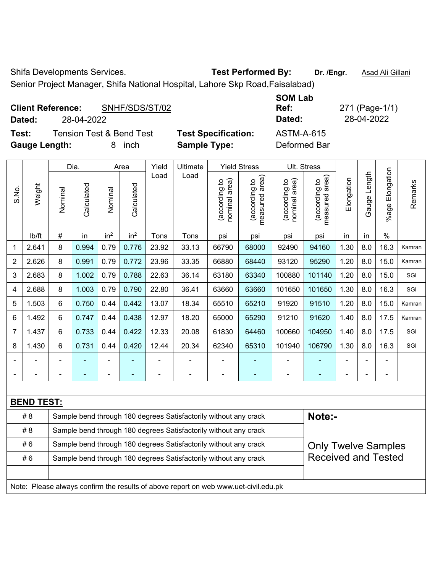Shifa Developments Services. **Test Performed By:** Dr. /Engr. **Asad Ali Gillani** 

Senior Project Manager, Shifa National Hospital, Lahore Skp Road,Faisalabad)

| <b>Client Reference:</b> | SNHF/SDS/ST/02 | <b>Ref:</b> | 271 (Page-1/ |
|--------------------------|----------------|-------------|--------------|
| Dated:                   | 28-04-2022     | Dated:      | 28-04-2022   |

**Test:** Tension Test & Bend Test **Test Specification:** ASTM-A-615 **Gauge Length:** 8 inch **Sample Type:** Deformed Bar

**SOM Lab Ref:** 271 (Page-1/1)

|                |                                                                                     |                                                                                                | Dia.           |                              | Area            | Yield | Ultimate                                                         |                                | <b>Yield Stress</b>                |                                | Ult. Stress                     |                            |                |                       |         |
|----------------|-------------------------------------------------------------------------------------|------------------------------------------------------------------------------------------------|----------------|------------------------------|-----------------|-------|------------------------------------------------------------------|--------------------------------|------------------------------------|--------------------------------|---------------------------------|----------------------------|----------------|-----------------------|---------|
| S.No.          | Weight                                                                              | Nominal                                                                                        | Calculated     | Nominal                      | Calculated      | Load  | Load                                                             | nominal area)<br>(according to | area)<br>(according to<br>measured | nominal area)<br>(according to | measured area)<br>(according to | Elongation                 | Gauge Length   | Elongation<br>$%$ age | Remarks |
|                | Ib/ft                                                                               | #                                                                                              | in             | in <sup>2</sup>              | in <sup>2</sup> | Tons  | Tons                                                             | psi                            | psi                                | psi                            | psi                             | in                         | in             | $\%$                  |         |
| 1              | 2.641                                                                               | 8                                                                                              | 0.994          | 0.79                         | 0.776           | 23.92 | 33.13                                                            | 66790                          | 68000                              | 92490                          | 94160                           | 1.30                       | 8.0            | 16.3                  | Kamran  |
| $\overline{2}$ | 2.626                                                                               | 8                                                                                              | 0.991          | 0.79                         | 0.772           | 23.96 | 33.35                                                            | 66880                          | 68440                              | 93120                          | 95290                           | 1.20                       | 8.0            | 15.0                  | Kamran  |
| 3              | 2.683                                                                               | 8                                                                                              | 1.002          | 0.79                         | 0.788           | 22.63 | 36.14                                                            | 63180                          | 63340                              | 100880                         | 101140                          | 1.20                       | 8.0            | 15.0                  | SGI     |
| 4              | 2.688                                                                               | 8                                                                                              | 1.003          | 0.79                         | 0.790           | 22.80 | 36.41                                                            | 63660                          | 63660                              | 101650                         | 101650                          | 1.30                       | 8.0            | 16.3                  | SGI     |
| 5              | 1.503                                                                               | 6                                                                                              | 0.750          | 0.44                         | 0.442           | 13.07 | 18.34                                                            | 65510                          | 65210                              | 91920                          | 91510                           | 1.20                       | 8.0            | 15.0                  | Kamran  |
| 6              | 1.492                                                                               | 6                                                                                              | 0.747          | 0.44                         | 0.438           | 12.97 | 18.20                                                            | 65000                          | 65290                              | 91210                          | 91620                           | 1.40                       | 8.0            | 17.5                  | Kamran  |
| 7              | 1.437                                                                               | 6                                                                                              | 0.733          | 0.44                         | 0.422           | 12.33 | 20.08                                                            | 61830                          | 64460                              | 100660                         | 104950                          | 1.40                       | 8.0            | 17.5                  | SGI     |
| 8              | 1.430                                                                               | 6                                                                                              | 0.731          | 0.44                         | 0.420           | 12.44 | 20.34                                                            | 62340                          | 65310                              | 101940                         | 106790                          | 1.30                       | 8.0            | 16.3                  | SGI     |
|                | ä,                                                                                  |                                                                                                | $\blacksquare$ | $\qquad \qquad \blacksquare$ |                 | ÷,    | ÷,                                                               | L,                             |                                    | $\blacksquare$                 | $\blacksquare$                  | ä,                         | $\blacksquare$ | $\blacksquare$        |         |
|                | -                                                                                   |                                                                                                | $\blacksquare$ | -                            | ۰               | ÷     | $\blacksquare$                                                   | $\blacksquare$                 | $\overline{\phantom{a}}$           | -                              | $\blacksquare$                  |                            | ä,             | $\blacksquare$        |         |
|                |                                                                                     |                                                                                                |                |                              |                 |       |                                                                  |                                |                                    |                                |                                 |                            |                |                       |         |
|                | <b>BEND TEST:</b>                                                                   |                                                                                                |                |                              |                 |       |                                                                  |                                |                                    |                                |                                 |                            |                |                       |         |
|                | #8                                                                                  |                                                                                                |                |                              |                 |       | Sample bend through 180 degrees Satisfactorily without any crack |                                |                                    |                                | Note:-                          |                            |                |                       |         |
|                | #8                                                                                  |                                                                                                |                |                              |                 |       | Sample bend through 180 degrees Satisfactorily without any crack |                                |                                    |                                |                                 |                            |                |                       |         |
|                | #6                                                                                  | Sample bend through 180 degrees Satisfactorily without any crack<br><b>Only Twelve Samples</b> |                |                              |                 |       |                                                                  |                                |                                    |                                |                                 |                            |                |                       |         |
|                | #6                                                                                  | Sample bend through 180 degrees Satisfactorily without any crack                               |                |                              |                 |       |                                                                  |                                |                                    |                                |                                 | <b>Received and Tested</b> |                |                       |         |
|                |                                                                                     |                                                                                                |                |                              |                 |       |                                                                  |                                |                                    |                                |                                 |                            |                |                       |         |
|                | Note: Please always confirm the results of above report on web www.uet-civil.edu.pk |                                                                                                |                |                              |                 |       |                                                                  |                                |                                    |                                |                                 |                            |                |                       |         |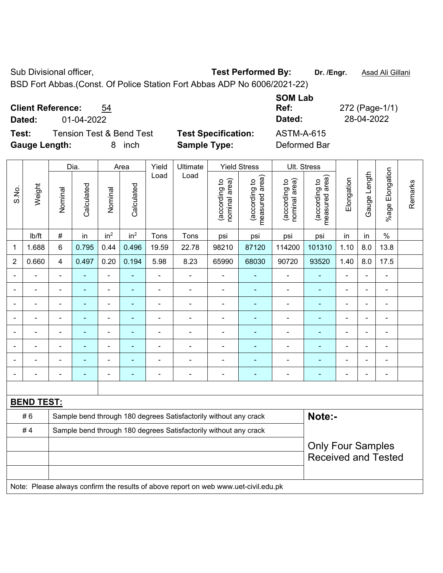Sub Divisional officer, **Test Performed By:** Dr. /Engr. **Asad Ali Gillani** Associated By: Dr. /Engr. **Asad Ali Gillani** 

BSD Fort Abbas.(Const. Of Police Station Fort Abbas ADP No 6006/2021-22)

| <b>Client Reference:</b><br>54 |
|--------------------------------|
|--------------------------------|

**Test:** Tension Test & Bend Test **Test Specification:** ASTM-A-615 **Gauge Length:** 8 inch **Sample Type:** Deformed Bar

**Ref:** 272 (Page-1/1) **Dated:** 01-04-2022 **Dated:** 28-04-2022

**SOM Lab** 

|                |                   |                                                                  | Dia.           |                 | Area            | Yield                    | Ultimate                                                                            |                                | <b>Yield Stress</b>             |                                | Ult. Stress                                            |                          |                |                       |         |
|----------------|-------------------|------------------------------------------------------------------|----------------|-----------------|-----------------|--------------------------|-------------------------------------------------------------------------------------|--------------------------------|---------------------------------|--------------------------------|--------------------------------------------------------|--------------------------|----------------|-----------------------|---------|
| S.No.          | Weight            | Nominal                                                          | Calculated     | Nominal         | Calculated      | Load                     | Load                                                                                | nominal area)<br>(according to | (according to<br>measured area) | nominal area)<br>(according to | (according to<br>measured area)                        | Elongation               | Gauge Length   | Elongation<br>$%$ age | Remarks |
|                | Ib/ft             | #                                                                | in             | in <sup>2</sup> | in <sup>2</sup> | Tons                     | Tons                                                                                | psi                            | psi                             | psi                            | psi                                                    | in                       | in             | $\%$                  |         |
| 1              | 1.688             | 6                                                                | 0.795          | 0.44            | 0.496           | 19.59                    | 22.78                                                                               | 98210                          | 87120                           | 114200                         | 101310                                                 | 1.10                     | 8.0            | 13.8                  |         |
| $\overline{2}$ | 0.660             | $\overline{4}$                                                   | 0.497          | 0.20            | 0.194           | 5.98                     | 8.23                                                                                | 65990                          | 68030                           | 90720                          | 93520                                                  | 1.40                     | 8.0            | 17.5                  |         |
| $\blacksquare$ | ä,                | $\blacksquare$                                                   | ۰              | $\blacksquare$  |                 | $\blacksquare$           | $\blacksquare$                                                                      | ä,                             | ÷,                              | ÷,                             | $\blacksquare$                                         | $\overline{\phantom{a}}$ |                | $\blacksquare$        |         |
|                | $\blacksquare$    | $\blacksquare$                                                   | ÷              | ÷,              | $\blacksquare$  | Ĭ.                       | $\blacksquare$                                                                      | $\blacksquare$                 | ä,                              | $\blacksquare$                 | $\blacksquare$                                         | ä,                       |                | $\blacksquare$        |         |
|                | $\blacksquare$    | $\blacksquare$                                                   | L,             | ä,              |                 | ä,                       | $\blacksquare$                                                                      | $\blacksquare$                 | $\blacksquare$                  | $\blacksquare$                 | ä,                                                     | $\blacksquare$           |                | $\blacksquare$        |         |
|                |                   |                                                                  |                | -               |                 |                          | $\blacksquare$                                                                      | $\blacksquare$                 |                                 | $\blacksquare$                 | $\blacksquare$                                         | $\blacksquare$           |                | $\overline{a}$        |         |
|                |                   |                                                                  | $\overline{a}$ | ÷               |                 |                          | $\blacksquare$                                                                      | $\blacksquare$                 |                                 | Ē,                             |                                                        | $\blacksquare$           |                | Ē,                    |         |
| $\blacksquare$ | ä,                | $\blacksquare$                                                   | ä,             | ۰               |                 | Ē,                       | $\blacksquare$                                                                      | $\blacksquare$                 | $\blacksquare$                  | $\overline{\phantom{a}}$       | ÷                                                      | $\blacksquare$           | $\blacksquare$ | $\blacksquare$        |         |
|                | L,                | $\blacksquare$                                                   | ۰              | ۰               |                 | $\overline{\phantom{0}}$ | $\blacksquare$                                                                      | $\blacksquare$                 | ٠                               | $\blacksquare$                 | ٠                                                      | $\overline{\phantom{0}}$ |                | $\blacksquare$        |         |
| $\blacksquare$ | ÷                 | $\blacksquare$                                                   | ÷,             | ÷,              | $\blacksquare$  | ä,                       | $\blacksquare$                                                                      | $\blacksquare$                 | ٠                               | $\blacksquare$                 | $\blacksquare$                                         | $\blacksquare$           |                | $\blacksquare$        |         |
|                |                   |                                                                  |                |                 |                 |                          |                                                                                     |                                |                                 |                                |                                                        |                          |                |                       |         |
|                | <b>BEND TEST:</b> |                                                                  |                |                 |                 |                          |                                                                                     |                                |                                 |                                |                                                        |                          |                |                       |         |
|                | #6                |                                                                  |                |                 |                 |                          | Sample bend through 180 degrees Satisfactorily without any crack                    |                                |                                 |                                | Note:-                                                 |                          |                |                       |         |
|                | #4                | Sample bend through 180 degrees Satisfactorily without any crack |                |                 |                 |                          |                                                                                     |                                |                                 |                                |                                                        |                          |                |                       |         |
|                |                   |                                                                  |                |                 |                 |                          |                                                                                     |                                |                                 |                                | <b>Only Four Samples</b><br><b>Received and Tested</b> |                          |                |                       |         |
|                |                   |                                                                  |                |                 |                 |                          | Note: Please always confirm the results of above report on web www.uet-civil.edu.pk |                                |                                 |                                |                                                        |                          |                |                       |         |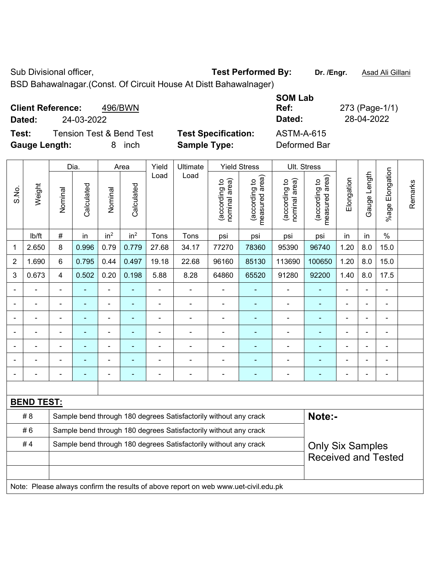Sub Divisional officer, **Test Performed By:** Dr. /Engr. **Asad Ali Gillani** Associated By: Dr. /Engr. **Asad Ali Gillani** 

BSD Bahawalnagar.(Const. Of Circuit House At Distt Bahawalnager)

| <b>Client Reference:</b> | 496/BWN                             |                            | <b>SOM Lab</b><br>Ref: | 273 (Page-1/1) |
|--------------------------|-------------------------------------|----------------------------|------------------------|----------------|
| 24-03-2022<br>Dated:     |                                     |                            | Dated:                 | 28-04-2022     |
| Test:                    | <b>Tension Test &amp; Bend Test</b> | <b>Test Specification:</b> | <b>ASTM-A-615</b>      |                |
| <b>Gauge Length:</b>     | inch<br>8.                          | <b>Sample Type:</b>        | Deformed Bar           |                |

|                |                   |                                                                                             | Dia.       |                          | Area            | Yield          | Ultimate                                                                            |                                | <b>Yield Stress</b>             |                                | Ult. Stress                     |                |              |                       |         |
|----------------|-------------------|---------------------------------------------------------------------------------------------|------------|--------------------------|-----------------|----------------|-------------------------------------------------------------------------------------|--------------------------------|---------------------------------|--------------------------------|---------------------------------|----------------|--------------|-----------------------|---------|
| S.No.          | Weight            | Nominal                                                                                     | Calculated | Nominal                  | Calculated      | Load           | Load                                                                                | nominal area)<br>(according to | (according to<br>measured area) | nominal area)<br>(according to | (according to<br>measured area) | Elongation     | Gauge Length | Elongation<br>$%$ age | Remarks |
|                | lb/ft             | $\#$                                                                                        | in         | in <sup>2</sup>          | in <sup>2</sup> | Tons           | Tons                                                                                | psi                            | psi                             | psi                            | psi                             | in             | in           | $\frac{0}{0}$         |         |
| 1              | 2.650             | 8                                                                                           | 0.996      | 0.79                     | 0.779           | 27.68          | 34.17                                                                               | 77270                          | 78360                           | 95390                          | 96740                           | 1.20           | 8.0          | 15.0                  |         |
| $\overline{2}$ | 1.690             | 6                                                                                           | 0.795      | 0.44                     | 0.497           | 19.18          | 22.68                                                                               | 96160                          | 85130                           | 113690                         | 100650                          | 1.20           | 8.0          | 15.0                  |         |
| 3              | 0.673             | 4                                                                                           | 0.502      | 0.20                     | 0.198           | 5.88           | 8.28                                                                                | 64860                          | 65520                           | 91280                          | 92200                           | 1.40           | 8.0          | 17.5                  |         |
|                | L,                | $\blacksquare$                                                                              | ÷,         | $\blacksquare$           |                 | $\blacksquare$ | $\blacksquare$                                                                      | ä,                             | ٠                               | ÷                              | $\blacksquare$                  | $\blacksquare$ |              | $\blacksquare$        |         |
|                | $\blacksquare$    | ä,                                                                                          | ÷          | $\blacksquare$           | $\blacksquare$  | ä,             | $\blacksquare$                                                                      | ä,                             | ۰                               | $\blacksquare$                 | ÷                               | $\blacksquare$ |              | $\blacksquare$        |         |
|                | L.                | $\blacksquare$                                                                              | ä,         | $\blacksquare$           |                 | ä,             | $\blacksquare$                                                                      | ä,                             | ٠                               | ÷,                             | ä,                              | $\blacksquare$ |              | ÷,                    |         |
|                |                   |                                                                                             | ÷          | ä,                       |                 |                | $\blacksquare$                                                                      | L,                             |                                 | $\blacksquare$                 |                                 |                |              | ÷                     |         |
|                |                   |                                                                                             |            |                          |                 |                |                                                                                     | $\blacksquare$                 |                                 |                                |                                 |                |              | $\blacksquare$        |         |
|                |                   |                                                                                             |            | $\overline{\phantom{0}}$ |                 |                | $\blacksquare$                                                                      | $\blacksquare$                 |                                 |                                |                                 |                |              | $\blacksquare$        |         |
| $\blacksquare$ |                   |                                                                                             |            | $\blacksquare$           |                 |                | $\overline{\phantom{0}}$                                                            | $\blacksquare$                 | ۰                               |                                | $\overline{\phantom{0}}$        |                |              | $\blacksquare$        |         |
|                |                   |                                                                                             |            |                          |                 |                |                                                                                     |                                |                                 |                                |                                 |                |              |                       |         |
|                | <b>BEND TEST:</b> |                                                                                             |            |                          |                 |                |                                                                                     |                                |                                 |                                |                                 |                |              |                       |         |
|                | # 8               |                                                                                             |            |                          |                 |                | Sample bend through 180 degrees Satisfactorily without any crack                    |                                |                                 |                                | Note:-                          |                |              |                       |         |
|                | #6                | Sample bend through 180 degrees Satisfactorily without any crack                            |            |                          |                 |                |                                                                                     |                                |                                 |                                |                                 |                |              |                       |         |
|                | #4                | Sample bend through 180 degrees Satisfactorily without any crack<br><b>Only Six Samples</b> |            |                          |                 |                |                                                                                     |                                |                                 |                                |                                 |                |              |                       |         |
|                |                   | <b>Received and Tested</b>                                                                  |            |                          |                 |                |                                                                                     |                                |                                 |                                |                                 |                |              |                       |         |
|                |                   |                                                                                             |            |                          |                 |                |                                                                                     |                                |                                 |                                |                                 |                |              |                       |         |
|                |                   |                                                                                             |            |                          |                 |                | Note: Please always confirm the results of above report on web www.uet-civil.edu.pk |                                |                                 |                                |                                 |                |              |                       |         |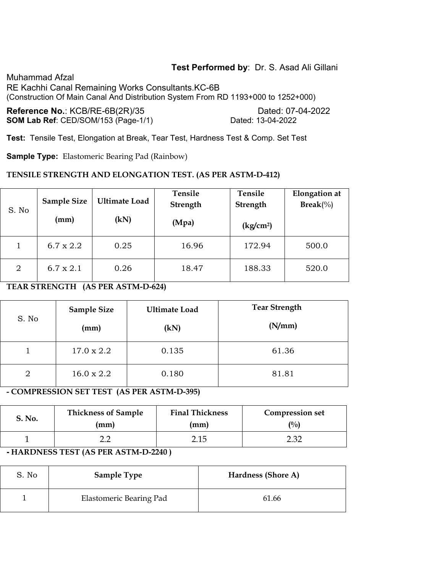# **Test Performed by**: Dr. S. Asad Ali Gillani

Muhammad Afzal RE Kachhi Canal Remaining Works Consultants.KC-6B (Construction Of Main Canal And Distribution System From RD 1193+000 to 1252+000)

**Reference No.: KCB/RE-6B(2R)/35 Dated: 07-04-2022 SOM Lab Ref**: CED/SOM/153 (Page-1/1) Dated: 13-04-2022

**Test:** Tensile Test, Elongation at Break, Tear Test, Hardness Test & Comp. Set Test

**Sample Type:** Elastomeric Bearing Pad (Rainbow)

#### **TENSILE STRENGTH AND ELONGATION TEST. (AS PER ASTM-D-412)**

| S. No          | <b>Sample Size</b><br>(mm) | <b>Ultimate Load</b><br>(kN) | Tensile<br>Strength<br>(Mpa) | Tensile<br>Strength<br>$\frac{\text{kg}}{\text{cm}^2}$ | <b>Elongation</b> at<br>$\text{Break}(\%)$ |
|----------------|----------------------------|------------------------------|------------------------------|--------------------------------------------------------|--------------------------------------------|
|                | $6.7 \times 2.2$           | 0.25                         | 16.96                        | 172.94                                                 | 500.0                                      |
| $\overline{2}$ | $6.7 \times 2.1$           | 0.26                         | 18.47                        | 188.33                                                 | 520.0                                      |

# **TEAR STRENGTH (AS PER ASTM-D-624)**

| S. No          | <b>Sample Size</b><br>(mm) | <b>Ultimate Load</b><br>(kN) | <b>Tear Strength</b><br>(N/mm) |
|----------------|----------------------------|------------------------------|--------------------------------|
|                | $17.0 \times 2.2$          | 0.135                        | 61.36                          |
| $\overline{2}$ | $16.0 \times 2.2$          | 0.180                        | 81.81                          |

### **- COMPRESSION SET TEST (AS PER ASTM-D-395)**

| S. No. | <b>Thickness of Sample</b> | <b>Final Thickness</b> | <b>Compression set</b> |
|--------|----------------------------|------------------------|------------------------|
|        | (mm)                       | (mm)                   | $\binom{0}{0}$         |
|        |                            | 2.15                   | ר מר                   |

### **- HARDNESS TEST (AS PER ASTM-D-2240 )**

| S. No | <b>Sample Type</b>      | Hardness (Shore A) |
|-------|-------------------------|--------------------|
|       | Elastomeric Bearing Pad | 61.66              |